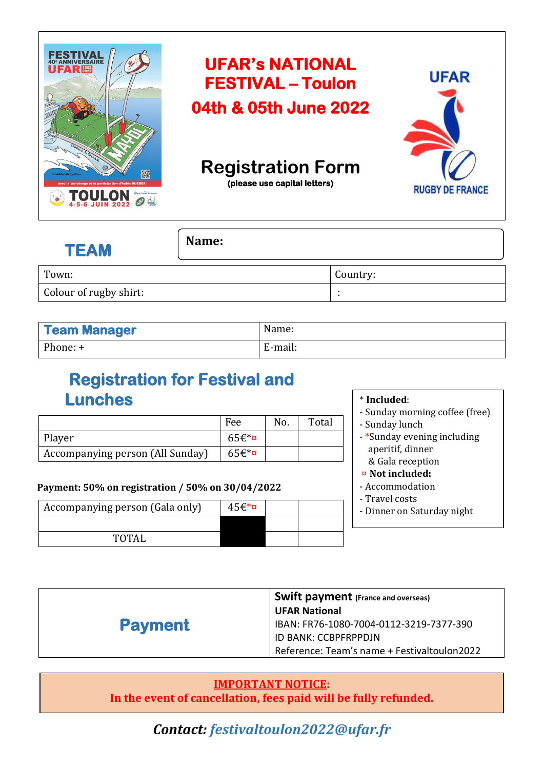

| <b>TEAM</b>            | Name: |          |
|------------------------|-------|----------|
| Town:                  |       | Country: |
| Colour of rugby shirt: |       |          |

| <b>Team Manager</b> | Name:   |
|---------------------|---------|
| Phone: +            | E-mail: |

# **Registration for Festival and Lunches**

|                                  | Fee      | No. | Total |
|----------------------------------|----------|-----|-------|
| Player                           | $65f$ *¤ |     |       |
| Accompanying person (All Sunday) | $65f$ *¤ |     |       |

#### **Payment: 50% on registration / 50% on 30/04/2022**

| Accompanying person (Gala only) | $45f*$ ¤ |  |
|---------------------------------|----------|--|
|                                 |          |  |
| TOTAL                           |          |  |

#### \* **Included**:

- Sunday morning coffee (free) - Sunday lunch
- \*Sunday evening including aperitif, dinner & Gala reception

#### ¤ **Not included:**

- Accommodation
- Travel costs
- Dinner on Saturday night

|                | <b>Swift payment</b> (France and overseas)  |  |
|----------------|---------------------------------------------|--|
|                | <b>UFAR National</b>                        |  |
| <b>Payment</b> | IBAN: FR76-1080-7004-0112-3219-7377-390     |  |
|                | ID BANK: CCBPFRPPDJN                        |  |
|                | Reference: Team's name + Festivaltoulon2022 |  |

### **IMPORTANT NOTICE:**

**In the event of cancellation, fees paid will be fully refunded.**

*Contact: festivaltoulon2022@ufar.fr*